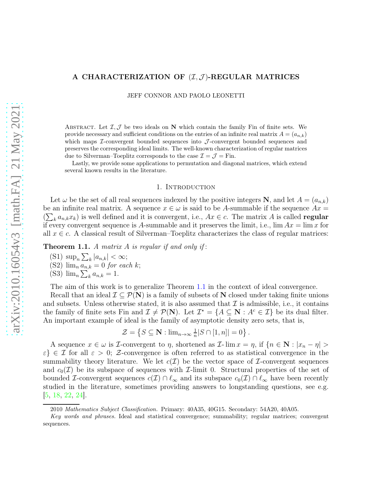# A CHARACTERIZATION OF  $(\mathcal{I}, \mathcal{J})$ -REGULAR MATRICES

JEFF CONNOR AND PAOLO LEONETTI

ABSTRACT. Let  $\mathcal{I}, \mathcal{J}$  be two ideals on N which contain the family Fin of finite sets. We provide necessary and sufficient conditions on the entries of an infinite real matrix  $A = (a_{n,k})$ which maps  $\mathcal{I}$ -convergent bounded sequences into  $\mathcal{I}$ -convergent bounded sequences and preserves the corresponding ideal limits. The well-known characterization of regular matrices due to Silverman–Toeplitz corresponds to the case  $\mathcal{I} = \mathcal{J} = \text{Fin}$ .

Lastly, we provide some applications to permutation and diagonal matrices, which extend several known results in the literature.

#### 1. Introduction

Let  $\omega$  be the set of all real sequences indexed by the positive integers N, and let  $A = (a_{n,k})$ be an infinite real matrix. A sequence  $x \in \omega$  is said to be A-summable if the sequence  $Ax =$  $(\sum_{k} a_{n,k} x_k)$  is well defined and it is convergent, i.e.,  $Ax \in c$ . The matrix A is called **regular** if every convergent sequence is A-summable and it preserves the limit, i.e.,  $\lim Ax = \lim x$  for all  $x \in c$ . A classical result of Silverman–Toeplitz characterizes the class of regular matrices:

<span id="page-0-0"></span>**Theorem 1.1.** A matrix A is regular if and only if:

(S1) sup<sub>n</sub>  $\sum_{k} |a_{n,k}| < \infty;$ (S2)  $\lim_{n} \overrightarrow{a_{n,k}} = 0$  for each k; (S3)  $\lim_{n} \sum_{k} a_{n,k} = 1.$ 

The aim of this work is to generalize Theorem [1.1](#page-0-0) in the context of ideal convergence.

Recall that an ideal  $\mathcal{I} \subseteq \mathcal{P}(\mathbf{N})$  is a family of subsets of N closed under taking finite unions and subsets. Unless otherwise stated, it is also assumed that  $\mathcal I$  is admissible, i.e., it contains the family of finite sets Fin and  $\mathcal{I} \neq \mathcal{P}(\mathbf{N})$ . Let  $\mathcal{I}^* = \{A \subseteq \mathbf{N} : A^c \in \mathcal{I}\}$  be its dual filter. An important example of ideal is the family of asymptotic density zero sets, that is,

$$
\mathcal{Z} = \left\{ S \subseteq \mathbf{N} : \lim_{n \to \infty} \frac{1}{n} |S \cap [1, n]| = 0 \right\}.
$$

A sequence  $x \in \omega$  is *I*-convergent to  $\eta$ , shortened as *I*-lim  $x = \eta$ , if  $\{n \in \mathbb{N} : |x_n - \eta| > \eta\}$  $\{\varepsilon\} \in \mathcal{I}$  for all  $\varepsilon > 0$ ; Z-convergence is often referred to as statistical convergence in the summability theory literature. We let  $c(\mathcal{I})$  be the vector space of *I*-convergent sequences and  $c_0(\mathcal{I})$  be its subspace of sequences with  $\mathcal{I}\text{-limit}$  0. Structural properties of the set of bounded *I*-convergent sequences  $c(\mathcal{I}) \cap \ell_{\infty}$  and its subspace  $c_0(\mathcal{I}) \cap \ell_{\infty}$  have been recently studied in the literature, sometimes providing answers to longstanding questions, see e.g. [\[5,](#page-8-0) [18,](#page-9-0) [22,](#page-9-1) [24\]](#page-9-2).

<sup>2010</sup> Mathematics Subject Classification. Primary: 40A35, 40G15. Secondary: 54A20, 40A05.

Key words and phrases. Ideal and statistical convergence; summability; regular matrices; convergent sequences.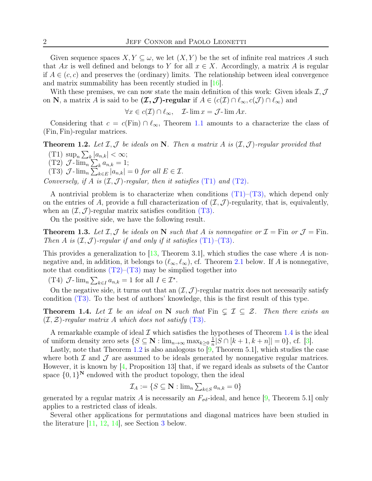Given sequence spaces  $X, Y \subseteq \omega$ , we let  $(X, Y)$  be the set of infinite real matrices A such that Ax is well defined and belongs to Y for all  $x \in X$ . Accordingly, a matrix A is regular if  $A \in (c, c)$  and preserves the (ordinary) limits. The relationship between ideal convergence and matrix summability has been recently studied in [\[16\]](#page-9-3).

With these premises, we can now state the main definition of this work: Given ideals  $\mathcal{I}, \mathcal{J}$ on N, a matrix A is said to be  $(\mathcal{I}, \mathcal{J})$ -regular if  $A \in (c(\mathcal{I}) \cap \ell_{\infty}, c(\mathcal{J}) \cap \ell_{\infty})$  and

 $\forall x \in c(\mathcal{I}) \cap \ell_{\infty}, \quad \mathcal{I}\text{-}\lim x = \mathcal{J}\text{-}\lim Ax.$ 

Considering that  $c = c(F\text{in}) \cap \ell_{\infty}$ , Theorem [1.1](#page-0-0) amounts to a characterize the class of (Fin, Fin)-regular matrices.

<span id="page-1-4"></span><span id="page-1-0"></span>**Theorem 1.2.** Let  $I, J$  be ideals on N. Then a matrix A is  $(I, J)$ -regular provided that

<span id="page-1-1"></span>(T1)  $\sup_n \sum_k |a_{n,k}| < \infty;$  $(T2)$   $\mathcal{J}$ - $\lim_{n} \sum_{k} a_{n,k} = 1;$ 

<span id="page-1-2"></span>(T3)  $\mathcal{J}\text{-}\lim_{n} \overline{\sum}_{k\in E}^n |a_{n,k}| = 0$  for all  $E \in \mathcal{I}$ .

Conversely, if A is  $(\mathcal{I}, \mathcal{J})$ -regular, then it satisfies (T[1\)](#page-1-0) and (T[2\)](#page-1-1).

A nontrivial problem is to characterize when conditions  $(T1)-(T3)$ , which depend only on the entries of A, provide a full characterization of  $(\mathcal{I}, \mathcal{J})$ -regularity, that is, equivalently, when an  $(\mathcal{I}, \mathcal{J})$ -regular matrix satisfies condition (T[3\).](#page-1-2)

On the positive side, we have the following result.

<span id="page-1-5"></span>**Theorem 1.3.** Let  $I, J$  be ideals on N such that A is nonnegative or  $I = \text{Fin}$  or  $J = \text{Fin}$ . Then A is  $(\mathcal{I}, \mathcal{J})$ -regular if and only if it satisfies  $(T1)$  $(T1)$ - $(T3)$  $(T3)$ .

This provides a generalization to  $[13,$  Theorem 3.1, which studies the case where A is nonnegative and, in addition, it belongs to  $(\ell_{\infty}, \ell_{\infty})$ , cf. Theorem [2.1](#page-2-0) below. If A is nonnegative, note that conditions  $(T2)$ – $(T3)$  $(T3)$  may be simplied together into

(T4)  $\mathcal{J}\text{-}\lim_{n}\sum_{k\in I}a_{n,k}=1$  for all  $I\in\mathcal{I}^*$ .

On the negative side, it turns out that an  $(\mathcal{I}, \mathcal{J})$ -regular matrix does not necessarily satisfy condition (T[3\).](#page-1-2) To the best of authors' knowledge, this is the first result of this type.

<span id="page-1-3"></span>**Theorem 1.4.** Let  $\mathcal{I}$  be an ideal on N such that Fin  $\subsetneq \mathcal{I} \subseteq \mathcal{Z}$ . Then there exists an  $(\mathcal{I}, \mathcal{Z})$ -regular matrix A which does not satisfy (T[3\)](#page-1-2).

A remarkable example of ideal  $\mathcal I$  which satisfies the hypotheses of Theorem [1.4](#page-1-3) is the ideal of uniform density zero sets  $\{S \subseteq \mathbb{N} : \lim_{n \to \infty} \max_{k \geq 0} \frac{1}{n}\}$  $\frac{1}{n}|S \cap [k+1, k+n]| = 0$ , cf. [\[3\]](#page-8-1).

Lastly, note that Theorem [1.2](#page-1-4) is also analogous to  $[9,$  Theorem 5.1, which studies the case where both  $\mathcal I$  and  $\mathcal J$  are assumed to be ideals generated by nonnegative regular matrices. However, it is known by  $[4,$  Proposition 13 that, if we regard ideals as subsets of the Cantor space  $\{0,1\}^{\mathbb{N}}$  endowed with the product topology, then the ideal

$$
\mathcal{I}_A := \{ S \subseteq \mathbf{N} : \lim_{n} \sum_{k \in S} a_{n,k} = 0 \}
$$

generated by a regular matrix A is necessarily an  $F_{\sigma\delta}$ -ideal, and hence [\[9,](#page-8-2) Theorem 5.1] only applies to a restricted class of ideals.

Several other applications for permutations and diagonal matrices have been studied in the literature  $\left|11, 12, 14\right|$  $\left|11, 12, 14\right|$  $\left|11, 12, 14\right|$ , see Section [3](#page-5-0) below.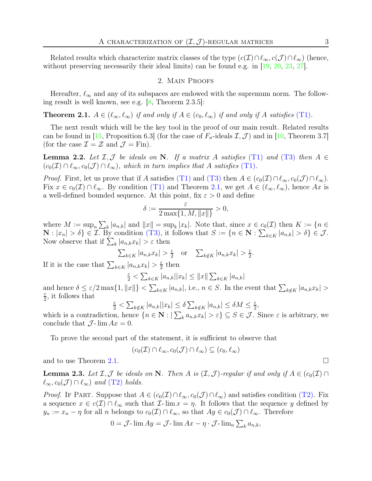Related results which characterize matrix classes of the type  $(c(\mathcal{I}) \cap \ell_{\infty}, c(\mathcal{J}) \cap \ell_{\infty})$  (hence, without preserving necessarily their ideal limits) can be found e.g. in [\[19,](#page-9-8) [20,](#page-9-9) [23,](#page-9-10) [27\]](#page-9-11).

### 2. Main Proofs

Hereafter,  $\ell_{\infty}$  and any of its subspaces are endowed with the supremum norm. The following result is well known, see e.g. [\[8,](#page-8-4) Theorem 2.3.5]:

<span id="page-2-0"></span>**Theorem 2.1.**  $A \in (\ell_{\infty}, \ell_{\infty})$  if and only if  $A \in (c_0, \ell_{\infty})$  if and only if A satisfies (T[1\)](#page-1-0).

The next result which will be the key tool in the proof of our main result. Related results can be found in [\[15,](#page-9-12) Proposition 6.3] (for the case of  $F_{\sigma}$ -ideals  $\mathcal{I}, \mathcal{J}$ ) and in [\[10,](#page-9-13) Theorem 3.7] (for the case  $\mathcal{I} = \mathcal{Z}$  and  $\mathcal{J} = \text{Fin}$ ).

<span id="page-2-1"></span>**Lemma 2.2.** Let  $I, J$  be ideals on N. If a matrix A satisfies (T[1\)](#page-1-0) and (T[3\)](#page-1-2) then  $A \in$  $(c_0(\mathcal{I}) \cap \ell_\infty, c_0(\mathcal{J}) \cap \ell_\infty)$ , which in turn implies that A satisfies (T[1\)](#page-1-0).

*Proof.* First, let us prove that if A satisfies (T[1\)](#page-1-0) and (T[3\)](#page-1-2) then  $A \in (c_0(\mathcal{I}) \cap \ell_\infty, c_0(\mathcal{J}) \cap \ell_\infty)$ . Fix  $x \in c_0(\mathcal{I}) \cap \ell_\infty$ . By condition (T[1\)](#page-1-0) and Theorem [2.1,](#page-2-0) we get  $A \in (\ell_\infty, \ell_\infty)$ , hence Ax is a well-defined bounded sequence. At this point, fix  $\varepsilon > 0$  and define

$$
\delta:=\frac{\varepsilon}{2\max\{1,M,\|x\|\}}>0,
$$

where  $M := \sup_n \sum_k |a_{n,k}|$  and  $||x|| = \sup_k |x_k|$ . Note that, since  $x \in c_0(\mathcal{I})$  then  $K := \{n \in \mathcal{I} \mid n \in \mathcal{I}\}$  $\mathbf{N}: |x_n| > \delta$   $\in \mathcal{I}$ . By condition (T[3\),](#page-1-2) it follows that  $S := \{n \in \mathbf{N}: \sum_{k \in K} |a_{n,k}| > \delta\} \in \mathcal{J}$ . Now observe that if  $\sum_{k} |a_{n,k}x_{k}| > \varepsilon$  then

$$
\sum_{k \in K} |a_{n,k} x_k| > \frac{\varepsilon}{2} \quad \text{or} \quad \sum_{k \notin K} |a_{n,k} x_k| > \frac{\varepsilon}{2}.
$$

If it is the case that  $\sum_{k \in K} |a_{n,k}x_k| > \frac{\varepsilon}{2}$  $\frac{\varepsilon}{2}$  then

$$
\frac{\varepsilon}{2} < \sum_{k \in K} |a_{n,k}| |x_k| \le ||x|| \sum_{k \in K} |a_{n,k}|
$$

and hence  $\delta \leq \varepsilon/2 \max\{1, ||x||\} < \sum_{k \in K} |a_{n,k}|$ , i.e.,  $n \in S$ . In the event that  $\sum_{k \notin K} |a_{n,k}x_k| >$ ε  $\frac{\varepsilon}{2}$ , it follows that

 $\frac{\varepsilon}{2} < \sum_{k \notin K} |a_{n,k}| |x_k| \le \delta \sum_{k \notin K} |a_{n,k}| \le \delta M \le \frac{\varepsilon}{2}$  $\frac{\varepsilon}{2}$ 

which is a contradiction, hence  $\{n \in \mathbb{N} : |\sum_{k} a_{n,k} x_k| > \varepsilon\} \subseteq S \in \mathcal{J}$ . Since  $\varepsilon$  is arbitrary, we conclude that  $\mathcal{J}\text{-}\lim Ax = 0$ .

To prove the second part of the statement, it is sufficient to observe that

$$
(c_0(\mathcal{I}) \cap \ell_{\infty}, c_0(\mathcal{J}) \cap \ell_{\infty}) \subseteq (c_0, \ell_{\infty})
$$

and to use Theorem [2.1.](#page-2-0)

<span id="page-2-2"></span>**Lemma 2.3.** Let  $\mathcal{I}, \mathcal{J}$  be ideals on N. Then A is  $(\mathcal{I}, \mathcal{J})$ -regular if and only if  $A \in (c_0(\mathcal{I}) \cap \mathcal{J})$  $\ell_{\infty}, c_0(\mathcal{J}) \cap \ell_{\infty}$  and (T[2\)](#page-1-1) holds.

*Proof.* If PART. Suppose that  $A \in (c_0(\mathcal{I}) \cap \ell_\infty, c_0(\mathcal{J}) \cap \ell_\infty)$  and satisfies condition (T[2\).](#page-1-1) Fix a sequence  $x \in c(\mathcal{I}) \cap \ell_{\infty}$  such that  $\mathcal{I}-\lim x = \eta$ . It follows that the sequence y defined by  $y_n := x_n - \eta$  for all n belongs to  $c_0(\mathcal{I}) \cap \ell_\infty$ , so that  $Ay \in c_0(\mathcal{J}) \cap \ell_\infty$ . Therefore

$$
0 = \mathcal{J}\text{-}\lim Ay = \mathcal{J}\text{-}\lim Ax - \eta \cdot \mathcal{J}\text{-}\lim_{n} \sum_{k} a_{n,k},
$$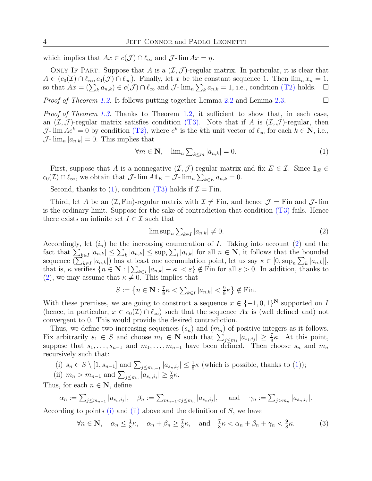which implies that  $Ax \in c(\mathcal{J}) \cap \ell_{\infty}$  and  $\mathcal{J}$ - lim  $Ax = \eta$ .

ONLY IF PART. Suppose that A is a  $(\mathcal{I}, \mathcal{J})$ -regular matrix. In particular, it is clear that  $A \in (c_0(\mathcal{I}) \cap \ell_\infty, c_0(\mathcal{J}) \cap \ell_\infty)$ . Finally, let x be the constant sequence 1. Then  $\lim_n x_n = 1$ , so that  $Ax = (\sum_{k} a_{n,k}) \in c(\mathcal{J}) \cap \ell_{\infty}$  and  $\mathcal{J}\text{-}\lim_{n} \sum_{k} a_{n,k} = 1$ , i.e., condition (T[2\)](#page-1-1) holds.  $\Box$ 

*Proof of Theorem [1.2.](#page-1-4)* It follows putting together Lemma [2.2](#page-2-1) and Lemma [2.3.](#page-2-2)

Proof of Theorem [1.3.](#page-1-5) Thanks to Theorem [1.2,](#page-1-4) it sufficient to show that, in each case, an  $(\mathcal{I}, \mathcal{J})$ -regular matrix satisfies condition (T[3\).](#page-1-2) Note that if A is  $(\mathcal{I}, \mathcal{J})$ -regular, then J-lim  $Ae^k = 0$  by condition (T[2\),](#page-1-1) where  $e^k$  is the kth unit vector of  $\ell_{\infty}$  for each  $k \in \mathbb{N}$ , i.e.,  $\mathcal{J}\text{-}\lim_{n} |a_{n,k}| = 0$ . This implies that

<span id="page-3-0"></span>
$$
\forall m \in \mathbf{N}, \quad \lim_{n \sum_{k \le m} |a_{n,k}| = 0. \tag{1}
$$

First, suppose that A is a nonnegative  $(\mathcal{I}, \mathcal{J})$ -regular matrix and fix  $E \in \mathcal{I}$ . Since  $\mathbf{1}_E \in$  $c_0(\mathcal{I}) \cap \ell_{\infty}$ , we obtain that  $\mathcal{J}$ - $\lim_{\mathcal{A}} A \mathbf{1}_E = \hat{\mathcal{J}}$ - $\lim_{n} \sum_{k \in E} a_{n,k} = 0$ .

Second, thanks to [\(1\)](#page-3-0), condition (T[3\)](#page-1-2) holds if  $\mathcal{I} = \text{Fin}$ .

Third, let A be an  $(\mathcal{I}, \text{Fin})$ -regular matrix with  $\mathcal{I} \neq \text{Fin}$ , and hence  $\mathcal{J} = \text{Fin}$  and  $\mathcal{J}$ -lim is the ordinary limit. Suppose for the sake of contradiction that condition  $(T3)$  $(T3)$  fails. Hence there exists an infinite set  $I \in \mathcal{I}$  such that

<span id="page-3-1"></span>
$$
\limsup_{n} \sum_{k \in I} |a_{n,k}| \neq 0. \tag{2}
$$

Accordingly, let  $(i_n)$  be the increasing enumeration of I. Taking into account [\(2\)](#page-3-1) and the fact that  $\sum_{k\in I} |a_{n,k}| \leq \sum_{k} |a_{n,k}| \leq \sup_i \sum_i |a_{i,k}|$  for all  $n \in \mathbb{N}$ , it follows that the bounded sequence  $(\sum_{k\in I} |a_{n,k}|)$  has at least one accumulation point, let us say  $\kappa \in [0, \sup_n \sum_k |a_{n,k}|]$ , that is,  $\kappa$  verifies  $\{n \in \mathbb{N} : |\sum_{k \in I} |a_{n,k}| - \kappa| < \varepsilon\} \notin$  Fin for all  $\varepsilon > 0$ . In addition, thanks to [\(2\)](#page-3-1), we may assume that  $\kappa \neq 0$ . This implies that

$$
S := \left\{ n \in \mathbf{N} : \frac{7}{8}\kappa < \sum_{k \in I} |a_{n,k}| < \frac{9}{8}\kappa \right\} \notin \text{Fin}.
$$

With these premises, we are going to construct a sequence  $x \in \{-1,0,1\}^N$  supported on I (hence, in particular,  $x \in c_0(\mathcal{I}) \cap \ell_\infty$ ) such that the sequence Ax is (well defined and) not convergent to 0. This would provide the desired contradiction.

Thus, we define two increasing sequences  $(s_n)$  and  $(m_n)$  of positive integers as it follows. Fix arbitrarily  $s_1 \in S$  and choose  $m_1 \in \mathbb{N}$  such that  $\sum_{j \leq m_1} |a_{s_1, i_j}| \geq \frac{7}{8} \kappa$ . At this point, suppose that  $s_1, \ldots, s_{n-1}$  and  $m_1, \ldots, m_{n-1}$  have been defined. Then choose  $s_n$  and  $m_n$ recursively such that:

<span id="page-3-2"></span>(i) 
$$
s_n \in S \setminus [1, s_{n-1}]
$$
 and  $\sum_{j \leq m_{n-1}} |a_{s_n, i_j}| \leq \frac{1}{8} \kappa$  (which is possible, thanks to (1));

<span id="page-3-3"></span>(ii) 
$$
m_n > m_{n-1}
$$
 and  $\sum_{j \leq m_n} |a_{s_n, i_j}| \geq \frac{7}{8}\kappa$ .

Thus, for each  $n \in \mathbb{N}$ , define

$$
\alpha_n := \sum_{j \le m_{n-1}} |a_{s_n, i_j}|, \quad \beta_n := \sum_{m_{n-1} < j \le m_n} |a_{s_n, i_j}|, \quad \text{and} \quad \gamma_n := \sum_{j > m_n} |a_{s_n, i_j}|.
$$

According to points [\(i\)](#page-3-2) and [\(ii\)](#page-3-3) above and the definition of  $S$ , we have

<span id="page-3-4"></span>
$$
\forall n \in \mathbf{N}, \quad \alpha_n \le \frac{1}{8}\kappa, \quad \alpha_n + \beta_n \ge \frac{7}{8}\kappa, \quad \text{and} \quad \frac{7}{8}\kappa < \alpha_n + \beta_n + \gamma_n < \frac{9}{8}\kappa. \tag{3}
$$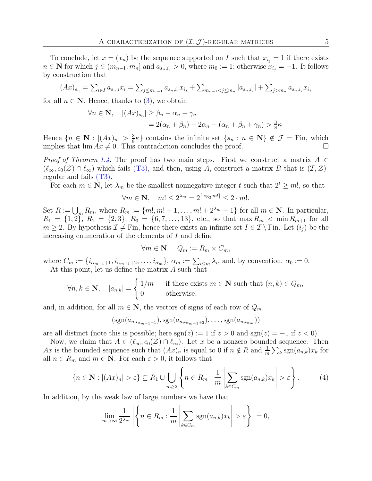To conclude, let  $x = (x_n)$  be the sequence supported on I such that  $x_{i_j} = 1$  if there exists  $n \in \mathbb{N}$  for which  $j \in (m_{n-1}, m_n]$  and  $a_{s_n,i_j} > 0$ , where  $m_0 := 1$ ; otherwise  $x_{i_j} = -1$ . It follows by construction that

$$
(Ax)_{s_n} = \sum_{i \in I} a_{s_n,i} x_i = \sum_{j \leq m_{n-1}} a_{s_n,i_j} x_{i_j} + \sum_{m_{n-1} < j \leq m_n} |a_{s_n,i_j}| + \sum_{j > m_n} a_{s_n,i_j} x_{i_j}
$$

for all  $n \in \mathbb{N}$ . Hence, thanks to [\(3\)](#page-3-4), we obtain

$$
\forall n \in \mathbf{N}, \quad |(Ax)_{s_n}| \ge \beta_n - \alpha_n - \gamma_n
$$
  
= 2(\alpha\_n + \beta\_n) - 2\alpha\_n - (\alpha\_n + \beta\_n + \gamma\_n) > \frac{3}{8}\kappa.

Hence  $\{n \in \mathbf{N}: |(Ax)_n| > \frac{3}{8}\}$  $\frac{3}{8}\kappa$  contains the infinite set  $\{s_n : n \in \mathbb{N}\}\notin \mathcal{J} = \text{Fin}$ , which implies that  $\lim Ax \neq 0$ . This contradiction concludes the proof.

*Proof of Theorem [1.4.](#page-1-3)* The proof has two main steps. First we construct a matrix  $A \in$  $(\ell_{\infty}, c_0(\mathcal{Z}) \cap \ell_{\infty})$  which fails (T[3\),](#page-1-2) and then, using A, construct a matrix B that is  $(\mathcal{I}, \mathcal{Z})$ regular and fails (T[3\).](#page-1-2)

For each  $m \in \mathbb{N}$ , let  $\lambda_m$  be the smallest nonnegative integer t such that  $2^t \geq m!$ , so that

$$
\forall m \in \mathbf{N}, \quad m! \le 2^{\lambda_m} = 2^{\lceil \log_2 m! \rceil} \le 2 \cdot m!.
$$

Set  $R := \bigcup_m R_m$ , where  $R_m := \{m! , m! + 1, \ldots, m! + 2^{\lambda_m} - 1\}$  for all  $m \in \mathbb{N}$ . In particular,  $R_1 = \{1, 2\}, R_2 = \{2, 3\}, R_3 = \{6, 7, \ldots, 13\}, \text{ etc., so that } \max R_m < \min R_{m+1} \text{ for all }$  $m \geq 2$ . By hypothesis  $\mathcal{I} \neq$  Fin, hence there exists an infinite set  $I \in \mathcal{I} \setminus$  Fin. Let  $(i_j)$  be the increasing enumeration of the elements of I and define

$$
\forall m \in \mathbf{N}, \quad Q_m := R_m \times C_m,
$$

where  $C_m := \{i_{\alpha_{m-1}+1}, i_{\alpha_{m-1}+2}, \ldots, i_{\alpha_m}\}, \alpha_m := \sum_{i \leq m} \lambda_i$ , and, by convention,  $\alpha_0 := 0$ . At this point, let us define the matrix A such that

$$
\forall n, k \in \mathbf{N}, \quad |a_{n,k}| = \begin{cases} 1/m & \text{if there exists } m \in \mathbf{N} \text{ such that } (n,k) \in Q_m, \\ 0 & \text{otherwise,} \end{cases}
$$

and, in addition, for all  $m \in \mathbb{N}$ , the vectors of signs of each row of  $Q_m$ 

$$
(\operatorname{sgn}(a_{n,i_{\alpha_{m-1}+1}}), \operatorname{sgn}(a_{n,i_{\alpha_{m-1}+2}}), \ldots, \operatorname{sgn}(a_{n,i_{\alpha_m}}))
$$

are all distinct (note this is possible; here  $sgn(z) := 1$  if  $z > 0$  and  $sgn(z) = -1$  if  $z < 0$ ).

Now, we claim that  $A \in (\ell_{\infty}, c_0(\mathcal{Z}) \cap \ell_{\infty})$ . Let x be a nonzero bounded sequence. Then Ax is the bounded sequence such that  $(Ax)_n$  is equal to 0 if  $n \notin R$  and  $\frac{1}{m} \sum_k \text{sgn}(a_{n,k})x_k$  for all  $n \in R_m$  and  $m \in \mathbb{N}$ . For each  $\varepsilon > 0$ , it follows that

<span id="page-4-0"></span>
$$
\left\{n \in \mathbf{N}: |(Ax)_n| > \varepsilon\right\} \subseteq R_1 \cup \bigcup_{m \ge 2} \left\{n \in R_m: \frac{1}{m} \left|\sum_{k \in C_m} \text{sgn}(a_{n,k}) x_k\right| > \varepsilon\right\}.
$$
 (4)

In addition, by the weak law of large numbers we have that

$$
\lim_{m \to \infty} \frac{1}{2^{\lambda_m}} \left| \left\{ n \in R_m : \frac{1}{m} \left| \sum_{k \in C_m} \text{sgn}(a_{n,k}) x_k \right| > \varepsilon \right\} \right| = 0,
$$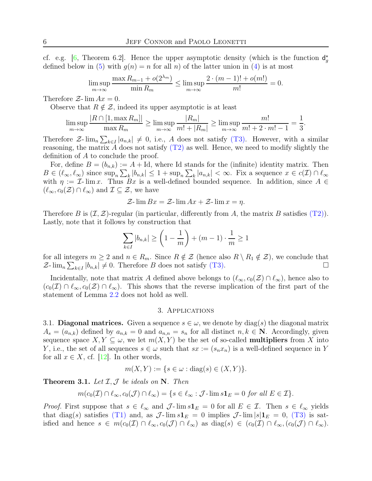cf. e.g. [\[6,](#page-8-5) Theorem 6.2]. Hence the upper asymptotic density (which is the function  $d_g^*$ defined below in [\(5\)](#page-6-0) with  $g(n) = n$  for all n) of the latter union in [\(4\)](#page-4-0) is at most

$$
\limsup_{m \to \infty} \frac{\max R_{m-1} + o(2^{\lambda_m})}{\min R_m} \le \limsup_{m \to \infty} \frac{2 \cdot (m-1)! + o(m!)}{m!} = 0.
$$

Therefore  $\mathcal{Z}$ -  $\lim Ax = 0$ .

Observe that  $R \notin \mathcal{Z}$ , indeed its upper asymptotic is at least

$$
\limsup_{m \to \infty} \frac{|R \cap [1, \max R_m]|}{\max R_m} \ge \limsup_{m \to \infty} \frac{|R_m|}{m! + |R_m|} \ge \limsup_{m \to \infty} \frac{m!}{m! + 2 \cdot m! - 1} = \frac{1}{3}.
$$

Therefore  $\mathcal{Z}\text{-}\lim_{n} \sum_{k\in I} |a_{n,k}| \neq 0$ , i.e., A does not satisfy (T[3\).](#page-1-2) However, with a similar reasoning, the matrix A does not satisfy  $(T2)$  $(T2)$  as well. Hence, we need to modify slightly the definition of A to conclude the proof.

For, define  $B = (b_{n,k}) := A + Id$ , where Id stands for the (infinite) identity matrix. Then  $B \in (\ell_\infty, \ell_\infty)$  since  $\sup_n \sum_k |b_{n,k}| \leq 1 + \sup_n \sum_k |a_{n,k}| < \infty$ . Fix a sequence  $x \in c(\mathcal{I}) \cap \ell_\infty$ with  $\eta := \mathcal{I}$ - lim x. Thus  $Bx$  is a well-defined bounded sequence. In addition, since  $A \in$  $(\ell_{\infty}, c_0(\mathcal{Z}) \cap \ell_{\infty})$  and  $\mathcal{I} \subseteq \mathcal{Z}$ , we have

$$
\mathcal{Z}\text{-}\lim Bx = \mathcal{Z}\text{-}\lim Ax + \mathcal{Z}\text{-}\lim x = \eta.
$$

Therefore B is  $(\mathcal{I}, \mathcal{Z})$ -regular (in particular, differently from A, the matrix B satisfies (T[2\)\)](#page-1-1). Lastly, note that it follows by construction that

$$
\sum_{k \in I} |b_{n,k}| \ge \left(1 - \frac{1}{m}\right) + (m-1) \cdot \frac{1}{m} \ge 1
$$

for all integers  $m \geq 2$  and  $n \in R_m$ . Since  $R \notin \mathcal{Z}$  (hence also  $R \setminus R_1 \notin \mathcal{Z}$ ), we conclude that  $\mathcal{Z}\text{-}\lim_{n}\sum_{k\in I}|b_{n,k}|\neq 0.$  Therefore B does not satisfy (T[3\).](#page-1-2)

<span id="page-5-0"></span>Incidentally, note that matrix A defined above belongs to  $(\ell_{\infty}, c_0(\mathcal{Z}) \cap \ell_{\infty})$ , hence also to  $(c_0(\mathcal{I}) \cap \ell_\infty, c_0(\mathcal{Z}) \cap \ell_\infty)$ . This shows that the reverse implication of the first part of the statement of Lemma [2.2](#page-2-1) does not hold as well.

## 3. Applications

3.1. Diagonal matrices. Given a sequence  $s \in \omega$ , we denote by  $\text{diag}(s)$  the diagonal matrix  $A_s = (a_{n,k})$  defined by  $a_{n,k} = 0$  and  $a_{n,n} = s_n$  for all distinct  $n, k \in \mathbb{N}$ . Accordingly, given sequence space  $X, Y \subseteq \omega$ , we let  $m(X, Y)$  be the set of so-called **multipliers** from X into Y, i.e., the set of all sequences  $s \in \omega$  such that  $sx := (s_n x_n)$  is a well-defined sequence in Y for all  $x \in X$ , cf. [\[12\]](#page-9-6). In other words,

 $m(X, Y) := \{ s \in \omega : \text{diag}(s) \in (X, Y) \}.$ 

**Theorem 3.1.** Let  $I, J$  be ideals on N. Then

$$
m(c_0(\mathcal{I}) \cap \ell_\infty, c_0(\mathcal{J}) \cap \ell_\infty) = \{ s \in \ell_\infty : \mathcal{J} \text{-}\lim s \mathbf{1}_E = 0 \text{ for all } E \in \mathcal{I} \}.
$$

*Proof.* First suppose that  $s \in \ell_{\infty}$  and  $\mathcal{J}\text{-}\lim s1_E = 0$  for all  $E \in \mathcal{I}$ . Then  $s \in \ell_{\infty}$  yields that diag(s) satisfies (T[1\)](#page-1-0) and, as  $\mathcal{J}\text{-}\lim s1_E = 0$  implies  $\mathcal{J}\text{-}\lim |s|1_E = 0$ , (T[3\)](#page-1-2) is satisfied and hence  $s \in m(c_0(\mathcal{I}) \cap \ell_\infty, c_0(\mathcal{J}) \cap \ell_\infty)$  as  $\text{diag}(s) \in (c_0(\mathcal{I}) \cap \ell_\infty, (c_0(\mathcal{J}) \cap \ell_\infty)$ .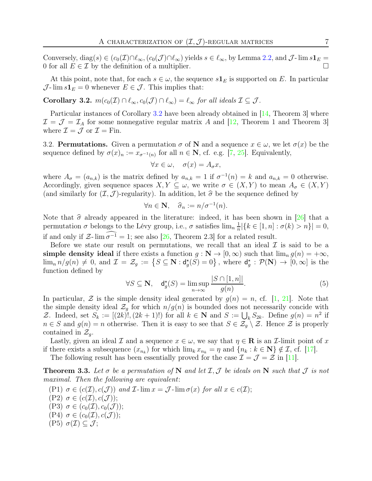Conversely, diag(s) ∈  $(c_0(\mathcal{I}) \cap \ell_\infty, (c_0(\mathcal{I}) \cap \ell_\infty)$  yields  $s \in \ell_\infty$ , by Lemma [2.2,](#page-2-1) and  $\mathcal{J}$ -lim  $s\mathbf{1}_E$  = 0 for all  $E \in \mathcal{I}$  by the definition of a multiplier.

At this point, note that, for each  $s \in \omega$ , the sequence  $s\mathbf{1}_E$  is supported on E. In particular  $\mathcal{J}\text{-}\lim s\mathbf{1}_E=0$  whenever  $E\in\mathcal{J}$ . This implies that:

<span id="page-6-1"></span>Corollary 3.2.  $m(c_0(\mathcal{I}) \cap \ell_\infty, c_0(\mathcal{J}) \cap \ell_\infty) = \ell_\infty$  for all ideals  $\mathcal{I} \subseteq \mathcal{J}$ .

Particular instances of Corollary [3.2](#page-6-1) have been already obtained in [\[14,](#page-9-7) Theorem 3] where  $\mathcal{I} = \mathcal{J} = \mathcal{I}_A$  for some nonnegative regular matrix A and [\[12,](#page-9-6) Theorem 1 and Theorem 3] where  $\mathcal{I} = \mathcal{J}$  or  $\mathcal{I} = \text{Fin}$ .

3.2. **Permutations.** Given a permutation  $\sigma$  of N and a sequence  $x \in \omega$ , we let  $\sigma(x)$  be the sequence defined by  $\sigma(x)_n := x_{\sigma^{-1}(n)}$  for all  $n \in \mathbb{N}$ , cf. e.g. [\[7,](#page-8-6) [25\]](#page-9-14). Equivalently,

$$
\forall x \in \omega, \quad \sigma(x) = A_{\sigma}x,
$$

where  $A_{\sigma} = (a_{n,k})$  is the matrix defined by  $a_{n,k} = 1$  if  $\sigma^{-1}(n) = k$  and  $a_{n,k} = 0$  otherwise. Accordingly, given sequence spaces  $X, Y \subseteq \omega$ , we write  $\sigma \in (X, Y)$  to mean  $A_{\sigma} \in (X, Y)$ (and similarly for  $(\mathcal{I}, \mathcal{J})$ -regularity). In addition, let  $\hat{\sigma}$  be the sequence defined by

$$
\forall n \in \mathbf{N}, \quad \widehat{\sigma}_n := n/\sigma^{-1}(n).
$$

Note that  $\hat{\sigma}$  already appeared in the literature: indeed, it has been shown in [\[26\]](#page-9-15) that a permutation  $\sigma$  belongs to the Lévy group, i.e.,  $\sigma$  satisfies  $\lim_{n} \frac{1}{n}$  $\frac{1}{n} |\{k \in [1, n] : \sigma(k) > n\}| = 0,$ if and only if  $\mathcal{Z}\text{-}\lim \widehat{\sigma^{-1}} = 1$ ; see also [\[26,](#page-9-15) Theorem 2.3] for a related result.

Before we state our result on permutations, we recall that an ideal  $\mathcal I$  is said to be a simple density ideal if there exists a function  $g : \mathbb{N} \to [0, \infty)$  such that  $\lim_{n} g(n) = +\infty$ ,  $\lim_{n} n/g(n) \neq 0$ , and  $\mathcal{I} = \mathcal{Z}_g := \{ S \subseteq \mathbf{N} : d_g^*(S) = 0 \}$ , where  $d_g^* : \mathcal{P}(\mathbf{N}) \to [0, \infty]$  is the function defined by  $\sqrt{S}$   $\sim$  [1, 1]

<span id="page-6-0"></span>
$$
\forall S \subseteq \mathbf{N}, \quad \mathsf{d}_g^{\star}(S) = \limsup_{n \to \infty} \frac{|S \cap [1, n]|}{g(n)}.\tag{5}
$$

In particular,  $\mathcal Z$  is the simple density ideal generated by  $q(n) = n$ , cf. [\[1,](#page-8-7) [21\]](#page-9-16). Note that the simple density ideal  $\mathcal{Z}_q$  for which  $n/g(n)$  is bounded does not necessarily concide with Z. Indeed, set  $S_k := [(2k)!, (2k+1)!)$  for all  $k \in \mathbb{N}$  and  $S := \bigcup_k S_{2k}$ . Define  $g(n) = n^2$  if  $n \in S$  and  $g(n) = n$  otherwise. Then it is easy to see that  $S \in \mathcal{Z}_g \setminus \mathcal{Z}$ . Hence  $\mathcal Z$  is properly contained in  $\mathcal{Z}_g$ .

Lastly, given an ideal  $\mathcal I$  and a sequence  $x \in \omega$ , we say that  $\eta \in \mathbb R$  is an  $\mathcal I$ -limit point of x if there exists a subsequence  $(x_{n_k})$  for which  $\lim_k x_{n_k} = \eta$  and  $\{n_k : k \in \mathbb{N}\}\notin \mathcal{I}$ , cf. [\[17\]](#page-9-17).

The following result has been essentially proved for the case  $\mathcal{I} = \mathcal{J} = \mathcal{Z}$  in [\[11\]](#page-9-5).

<span id="page-6-7"></span>**Theorem 3.3.** Let  $\sigma$  be a permutation of N and let  $\mathcal{I}, \mathcal{J}$  be ideals on N such that  $\mathcal{J}$  is not maximal. Then the following are equivalent:

<span id="page-6-6"></span><span id="page-6-5"></span><span id="page-6-4"></span><span id="page-6-3"></span><span id="page-6-2"></span>(P1)  $\sigma \in (c(\mathcal{I}), c(\mathcal{J}))$  and  $\mathcal{I}$ -lim  $x = \mathcal{J}$ -lim  $\sigma(x)$  for all  $x \in c(\mathcal{I});$  $(P2) \sigma \in (c(\mathcal{I}), c(\mathcal{J}))$ ; (P3)  $\sigma \in (c_0(\mathcal{I}), c_0(\mathcal{J}))$ ;  $(P4) \sigma \in (c_0(\mathcal{I}), c(\mathcal{J}));$  $(P5) \sigma(\mathcal{I}) \subseteq \mathcal{J};$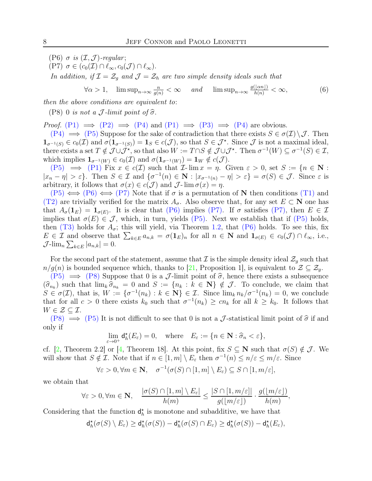<span id="page-7-1"></span><span id="page-7-0"></span>(P6)  $\sigma$  is  $(\mathcal{I}, \mathcal{J})$ -regular;

$$
(\text{P7}) \ \sigma \in (c_0(\mathcal{I}) \cap \ell_\infty, c_0(\mathcal{J}) \cap \ell_\infty).
$$

In addition, if  $\mathcal{I} = \mathcal{Z}_q$  and  $\mathcal{J} = \mathcal{Z}_h$  are two simple density ideals such that

<span id="page-7-3"></span>
$$
\forall \alpha > 1, \quad \limsup_{n \to \infty} \frac{n}{g(n)} < \infty \quad \text{and} \quad \limsup_{n \to \infty} \frac{g(\lfloor \alpha n \rfloor)}{h(n)} < \infty,\tag{6}
$$

<span id="page-7-2"></span>then the above conditions are equivalent to:

(P8) 0 is not a J-limit point of  $\hat{\sigma}$ .

*Proof.* (P[1\)](#page-6-2)  $\implies$  (P[2\)](#page-6-3)  $\implies$  (P[4\)](#page-6-4) and (P1)  $\implies$  (P[3\)](#page-6-5)  $\implies$  (P4) are obvious.

 $(P4) \implies (P5)$  $(P4) \implies (P5)$  $(P4) \implies (P5)$  $(P4) \implies (P5)$  Suppose for the sake of contradiction that there exists  $S \in \sigma(\mathcal{I}) \setminus \mathcal{J}$ . Then  $\mathbf{1}_{\sigma^{-1}(S)} \in c_0(\mathcal{I})$  and  $\sigma(\mathbf{1}_{\sigma^{-1}(S)}) = \mathbf{1}_S \in c(\mathcal{J})$ , so that  $S \in \mathcal{J}^*$ . Since  $\mathcal{J}$  is not a maximal ideal, there exists a set  $T \notin \mathcal{J} \cup \mathcal{J}^*$ , so that also  $W := T \cap S \notin \mathcal{J} \cup \mathcal{J}^*$ . Then  $\sigma^{-1}(W) \subseteq \sigma^{-1}(S) \in \mathcal{I}$ , which implies  $\mathbf{1}_{\sigma^{-1}(W)} \in c_0(\mathcal{I})$  and  $\sigma(\mathbf{1}_{\sigma^{-1}(W)}) = \mathbf{1}_W \notin c(\mathcal{J})$ .

(P[5\)](#page-6-6)  $\implies$  (P[1\)](#page-6-2) Fix  $x \in c(\mathcal{I})$  such that  $\mathcal{I}\text{-}\lim x = \eta$ . Given  $\varepsilon > 0$ , set  $S := \{n \in \mathbb{N} :$  $|x_n - \eta| > \varepsilon$ . Then  $S \in \mathcal{I}$  and  $\{\sigma^{-1}(n) \in \mathbf{N} : |x_{\sigma^{-1}(n)} - \eta| > \varepsilon\} = \sigma(S) \in \mathcal{J}$ . Since  $\varepsilon$  is arbitrary, it follows that  $\sigma(x) \in c(\mathcal{J})$  and  $\mathcal{J}\text{-}\lim \sigma(x) = \eta$ .

 $(P5) \iff (P6) \iff (P7)$  $(P5) \iff (P6) \iff (P7)$  $(P5) \iff (P6) \iff (P7)$  $(P5) \iff (P6) \iff (P7)$  $(P5) \iff (P6) \iff (P7)$  $(P5) \iff (P6) \iff (P7)$  Note that if  $\sigma$  is a permutation of N then conditions (T[1\)](#page-1-0) and (T[2\)](#page-1-1) are trivially verified for the matrix  $A_{\sigma}$ . Also observe that, for any set  $E \subset \mathbb{N}$  one has that  $A_{\sigma}(1_E) = 1_{\sigma(E)}$ . It is clear that (P[6\)](#page-7-0) implies (P[7\).](#page-7-1) If  $\sigma$  satisfies (P[7\),](#page-7-1) then  $E \in \mathcal{I}$ implies that  $\sigma(E) \in \mathcal{J}$ , which, in turn, yields (P[5\).](#page-6-6) Next we establish that if (P[5\)](#page-6-6) holds, then  $(T3)$  $(T3)$  holds for  $A_{\sigma}$ ; this will yield, via Theorem [1.2,](#page-1-4) that  $(P6)$  $(P6)$  holds. To see this, fix  $E \in \mathcal{I}$  and observe that  $\sum_{k \in E} a_{n,k} = \sigma(\mathbf{1}_E)_n$  for all  $n \in \mathbb{N}$  and  $\mathbf{1}_{\sigma(E)} \in c_0(\mathcal{J}) \cap \ell_\infty$ , i.e.,  $\mathcal{J}\text{-lim}_n \sum_{k \in E} |a_{n,k}| = 0.$ 

For the second part of the statement, assume that  $\mathcal I$  is the simple density ideal  $\mathcal Z_g$  such that  $n/g(n)$  is bounded sequence which, thanks to [\[21,](#page-9-16) Proposition 1], is equivalent to  $\mathcal{Z} \subseteq \mathcal{Z}_q$ .

 $(P5) \implies (P8)$  $(P5) \implies (P8)$  $(P5) \implies (P8)$  $(P5) \implies (P8)$  Suppose that 0 is a *J*-limit point of  $\hat{\sigma}$ , hence there exists a subsequence  $(\widehat{\sigma}_{n_k})$  such that  $\lim_k \widehat{\sigma}_{n_k} = 0$  and  $S := \{n_k : k \in \mathbb{N}\}\notin \mathcal{J}$ . To conclude, we claim that  $S \subset \sigma(\mathcal{J})$  that is  $W$ ,  $[0, -1/\infty)$ ,  $k \in \mathbb{N}\} \subset \mathcal{J}$ . Since  $\lim_k n \to (-1/\infty)$ ,  $0$  we conclude  $S \in \sigma(\mathcal{I})$ , that is,  $W := \{ \sigma^{-1}(n_k) : k \in \mathbb{N} \} \in \mathcal{I}$ . Since  $\lim_k n_k / \sigma^{-1}(n_k) = 0$ , we conclude that for all  $c > 0$  there exists  $k_0$  such that  $\sigma^{-1}(n_k) \geq cn_k$  for all  $k \geq k_0$ . It follows that  $W \in \mathcal{Z} \subseteq \mathcal{I}.$ 

 $(PS) \implies (P5)$  $(PS) \implies (P5)$  It is not difficult to see that 0 is not a J-statistical limit point of  $\hat{\sigma}$  if and only if

$$
\lim_{\varepsilon \to 0^+} \mathsf{d}_h^\star(E_\varepsilon) = 0, \quad \text{where} \quad E_\varepsilon := \{ n \in \mathbf{N} : \widehat{\sigma}_n < \varepsilon \},
$$

cf. [\[2,](#page-8-8) Theorem 2.2] or [\[4,](#page-8-3) Theorem 18]. At this point, fix  $S \subseteq \mathbb{N}$  such that  $\sigma(S) \notin \mathcal{J}$ . We will show that  $S \notin \mathcal{I}$ . Note that if  $n \in [1, m] \setminus E_{\varepsilon}$  then  $\sigma^{-1}(n) \leq n/\varepsilon \leq m/\varepsilon$ . Since

$$
\forall \varepsilon > 0, \forall m \in \mathbf{N}, \quad \sigma^{-1}(\sigma(S) \cap [1, m] \setminus E_{\varepsilon}) \subseteq S \cap [1, m/\varepsilon],
$$

we obtain that

$$
\forall \varepsilon > 0, \forall m \in \mathbf{N}, \quad \frac{|\sigma(S) \cap [1, m] \setminus E_{\varepsilon}|}{h(m)} \le \frac{|S \cap [1, m/\varepsilon]|}{g(|m/\varepsilon|)} \cdot \frac{g(|m/\varepsilon|)}{h(m)},
$$

Considering that the function  $\mathsf{d}_h^*$  is monotone and subadditive, we have that

$$
\mathsf{d}_h^{\star}(\sigma(S) \setminus E_{\varepsilon}) \geq \mathsf{d}_h^{\star}(\sigma(S)) - \mathsf{d}_h^{\star}(\sigma(S) \cap E_{\varepsilon}) \geq \mathsf{d}_h^{\star}(\sigma(S)) - \mathsf{d}_h^{\star}(E_{\varepsilon}),
$$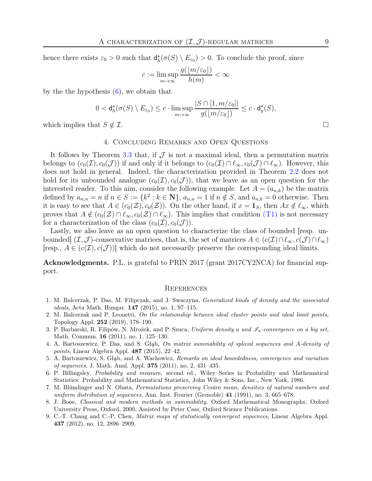hence there exists  $\varepsilon_0 > 0$  such that  $d_h^*(\sigma(S) \setminus E_{\varepsilon_0}) > 0$ . To conclude the proof, since

$$
c := \limsup_{m \to \infty} \frac{g(\lfloor m/\varepsilon_0 \rfloor)}{h(m)} < \infty
$$

by the the hypothesis  $(6)$ , we obtain that

$$
0 < \mathsf{d}_h^{\star}(\sigma(S) \setminus E_{\varepsilon_0}) \le c \cdot \limsup_{m \to \infty} \frac{|S \cap [1, m/\varepsilon_0]|}{g([m/\varepsilon_0])} \le c \cdot \mathsf{d}_g^{\star}(S),
$$

which implies that  $S \notin \mathcal{I}$ .

# 4. Concluding Remarks and Open Questions

It follows by Theorem [3.3](#page-6-7) that, if  $J$  is not a maximal ideal, then a permutation matrix belongs to  $(c_0(\mathcal{I}), c_0(\mathcal{J}))$  if and only if it belongs to  $(c_0(\mathcal{I}) \cap \ell_\infty, c_0(\mathcal{J}) \cap \ell_\infty)$ . However, this does not hold in general. Indeed, the characterization provided in Theorem [2.2](#page-2-1) does not hold for its unbounded analogue  $(c_0(\mathcal{I}), c_0(\mathcal{J}))$ , that we leave as an open question for the interested reader. To this aim, consider the following example. Let  $A = (a_{n,k})$  be the matrix defined by  $a_{n,n} = n$  if  $n \in S := \{k^2 : k \in \mathbb{N}\}\$ ,  $a_{n,n} = 1$  if  $n \notin S$ , and  $a_{n,k} = 0$  otherwise. Then it is easy to see that  $A \in (c_0(\mathcal{Z}), c_0(\mathcal{Z}))$ . On the other hand, if  $x = \mathbf{1}_S$ , then  $Ax \notin \ell_\infty$ , which proves that  $A \notin (c_0(\mathcal{Z}) \cap \ell_\infty, c_0(\mathcal{Z}) \cap \ell_\infty)$ . This implies that condition (T[1\)](#page-1-0) is not necessary for a characterization of the class  $(c_0(\mathcal{I}), c_0(\mathcal{J}))$ .

Lastly, we also leave as an open question to characterize the class of bounded [resp. unbounded]  $(\mathcal{I}, \mathcal{J})$ -conservative matrices, that is, the set of matrices  $A \in (c(\mathcal{I}) \cap \ell_\infty, c(\mathcal{J}) \cap \ell_\infty)$ [resp.,  $A \in (c(\mathcal{I}), c(\mathcal{J}))$ ] which do not necessarily preserve the corresponding ideal limits.

Acknowledgments. P.L. is grateful to PRIN 2017 (grant 2017CY2NCA) for financial support.

#### **REFERENCES**

- <span id="page-8-7"></span>1. M. Balcerzak, P. Das, M. Filipczak, and J. Swaczyna, Generalized kinds of density and the associated ideals, Acta Math. Hungar. 147 (2015), no. 1, 97–115.
- <span id="page-8-8"></span>2. M. Balcerzak and P. Leonetti, On the relationship between ideal cluster points and ideal limit points, Topology Appl. 252 (2019), 178–190.
- <span id="page-8-1"></span>3. P. Barbarski, R. Filipów, N. Mrożek, and P. Szuca, Uniform density u and  $\mathscr{I}_u$ -convergence on a big set, Math. Commun. 16 (2011), no. 1, 125–130.
- <span id="page-8-3"></span>4. A. Bartoszewicz, P. Das, and S. Głąb, On matrix summability of spliced sequences and A-density of points, Linear Algebra Appl. 487 (2015), 22–42.
- <span id="page-8-0"></span>5. A. Bartoszewicz, S. Głąb, and A. Wachowicz, Remarks on ideal boundedness, convergence and variation of sequences, J. Math. Anal. Appl. 375 (2011), no. 2, 431–435.
- <span id="page-8-5"></span>6. P. Billingsley, Probability and measure, second ed., Wiley Series in Probability and Mathematical Statistics: Probability and Mathematical Statistics, John Wiley & Sons, Inc., New York, 1986.
- <span id="page-8-6"></span>7. M. Blümlinger and N. Obata, Permutations preserving Cesàro mean, densities of natural numbers and uniform distribution of sequences, Ann. Inst. Fourier (Grenoble)  $41$  (1991), no. 3, 665–678.
- <span id="page-8-4"></span>8. J. Boos, Classical and modern methods in summability, Oxford Mathematical Monographs, Oxford University Press, Oxford, 2000, Assisted by Peter Cass, Oxford Science Publications.
- <span id="page-8-2"></span>9. C.-T. Chang and C.-P. Chen, Matrix maps of statistically convergent sequences, Linear Algebra Appl. 437 (2012), no. 12, 2896–2909.